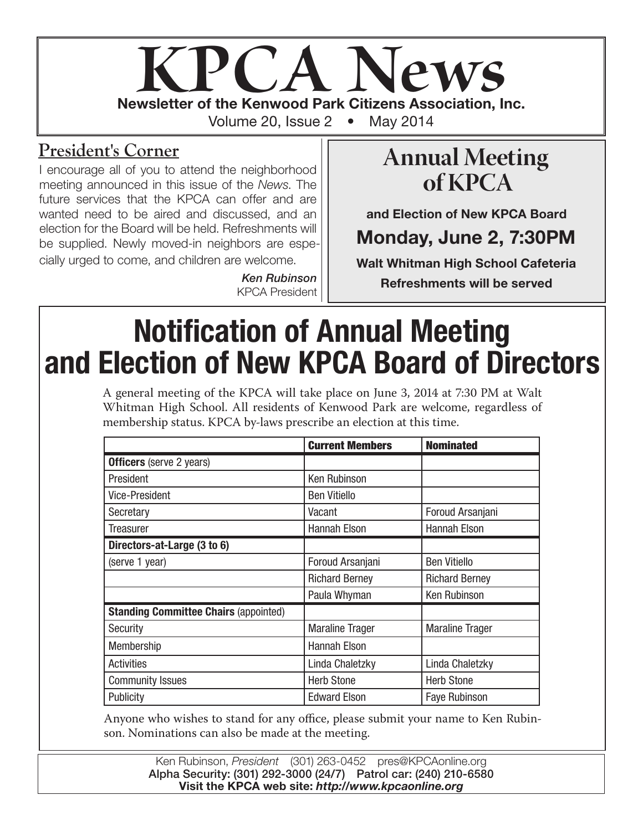

### **President's Corner**

I encourage all of you to attend the neighborhood meeting announced in this issue of the *News*. The future services that the KPCA can offer and are wanted need to be aired and discussed, and an election for the Board will be held. Refreshments will be supplied. Newly moved-in neighbors are especially urged to come, and children are welcome.

> *Ken Rubinson* KPCA President

## **Annual Meeting of KPCA**

and Election of New KPCA Board

## Monday, June 2, 7:30PM

Walt Whitman High School Cafeteria Refreshments will be served

# Notification of Annual Meeting and Election of New KPCA Board of Directors

A general meeting of the KPCA will take place on June 3, 2014 at 7:30 PM at Walt Whitman High School. All residents of Kenwood Park are welcome, regardless of membership status. KPCA by-laws prescribe an election at this time.

|                                              | <b>Current Members</b> | <b>Nominated</b>       |
|----------------------------------------------|------------------------|------------------------|
| <b>Officers</b> (serve 2 years)              |                        |                        |
| President                                    | <b>Ken Rubinson</b>    |                        |
| <b>Vice-President</b>                        | <b>Ben Vitiello</b>    |                        |
| Secretary                                    | Vacant                 | Foroud Arsanjani       |
| Treasurer                                    | Hannah Elson           | Hannah Elson           |
| Directors-at-Large (3 to 6)                  |                        |                        |
| (serve 1 year)                               | Foroud Arsanjani       | <b>Ben Vitiello</b>    |
|                                              | <b>Richard Berney</b>  | <b>Richard Berney</b>  |
|                                              | Paula Whyman           | Ken Rubinson           |
| <b>Standing Committee Chairs (appointed)</b> |                        |                        |
| Security                                     | <b>Maraline Trager</b> | <b>Maraline Trager</b> |
| Membership                                   | Hannah Elson           |                        |
| <b>Activities</b>                            | Linda Chaletzky        | Linda Chaletzky        |
| <b>Community Issues</b>                      | <b>Herb Stone</b>      | <b>Herb Stone</b>      |
| Publicity                                    | <b>Edward Elson</b>    | <b>Faye Rubinson</b>   |

Anyone who wishes to stand for any office, please submit your name to Ken Rubinson. Nominations can also be made at the meeting.

> Ken Rubinson, *President* (301) 263-0452 pres@KPCAonline.org Alpha Security: (301) 292-3000 (24/7) Patrol car: (240) 210-6580 Visit the KPCA web site: *http://www.kpcaonline.org*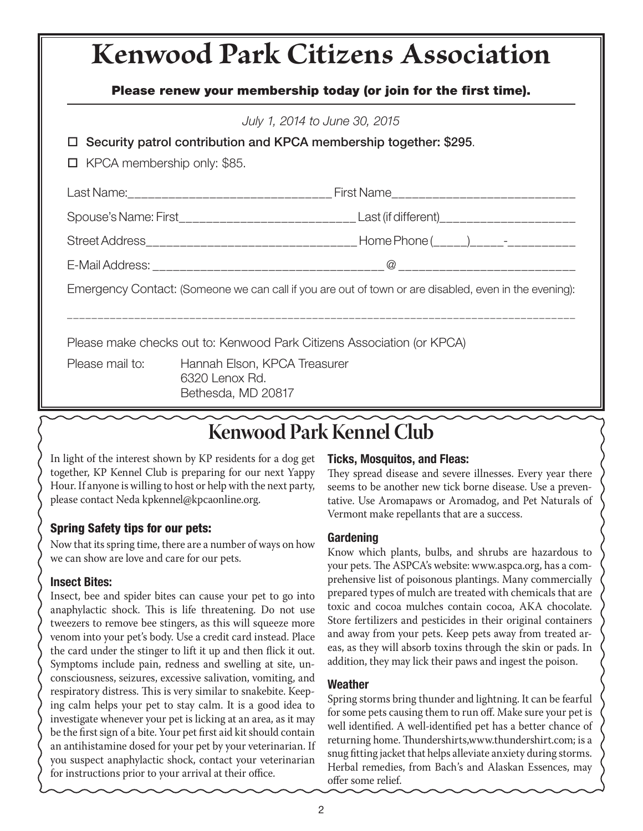# **Kenwood Park Citizens Association**

#### Please renew your membership today (or join for the first time).

| July 1, 2014 to June 30, 2015<br>$\Box$ Security patrol contribution and KPCA membership together: \$295.<br>KPCA membership only: \$85. |                                                                                              |  |
|------------------------------------------------------------------------------------------------------------------------------------------|----------------------------------------------------------------------------------------------|--|
|                                                                                                                                          |                                                                                              |  |
|                                                                                                                                          | Spouse's Name: First_______________________________Last (if different)______________________ |  |
|                                                                                                                                          |                                                                                              |  |
|                                                                                                                                          |                                                                                              |  |
| Emergency Contact: (Someone we can call if you are out of town or are disabled, even in the evening):                                    |                                                                                              |  |
| Please make checks out to: Kenwood Park Citizens Association (or KPCA)                                                                   |                                                                                              |  |
| Please mail to:                                                                                                                          | Hannah Elson, KPCA Treasurer<br>6320 Lenox Rd.<br>Bethesda, MD 20817                         |  |

## **Kenwood Park Kennel Club**

In light of the interest shown by KP residents for a dog get together, KP Kennel Club is preparing for our next Yappy Hour. If anyone is willing to host or help with the next party, please contact Neda kpkennel@kpcaonline.org.

#### Spring Safety tips for our pets:

Now that its spring time, there are a number of ways on how we can show are love and care for our pets.

#### Insect Bites:

Insect, bee and spider bites can cause your pet to go into anaphylactic shock. This is life threatening. Do not use tweezers to remove bee stingers, as this will squeeze more venom into your pet's body. Use a credit card instead. Place the card under the stinger to lift it up and then flick it out. Symptoms include pain, redness and swelling at site, unconsciousness, seizures, excessive salivation, vomiting, and respiratory distress. This is very similar to snakebite. Keeping calm helps your pet to stay calm. It is a good idea to investigate whenever your pet is licking at an area, as it may be the first sign of a bite. Your pet first aid kit should contain an antihistamine dosed for your pet by your veterinarian. If you suspect anaphylactic shock, contact your veterinarian for instructions prior to your arrival at their office.

#### Ticks, Mosquitos, and Fleas:

They spread disease and severe illnesses. Every year there seems to be another new tick borne disease. Use a preventative. Use Aromapaws or Aromadog, and Pet Naturals of Vermont make repellants that are a success.

#### Gardening

Know which plants, bulbs, and shrubs are hazardous to your pets. The ASPCA's website: www.aspca.org, has a comprehensive list of poisonous plantings. Many commercially prepared types of mulch are treated with chemicals that are toxic and cocoa mulches contain cocoa, AKA chocolate. Store fertilizers and pesticides in their original containers and away from your pets. Keep pets away from treated areas, as they will absorb toxins through the skin or pads. In addition, they may lick their paws and ingest the poison.

#### Weather

Spring storms bring thunder and lightning. It can be fearful for some pets causing them to run off. Make sure your pet is well identified. A well-identified pet has a better chance of returning home. Thundershirts,www.thundershirt.com; is a snug fitting jacket that helps alleviate anxiety during storms. Herbal remedies, from Bach's and Alaskan Essences, may offer some relief.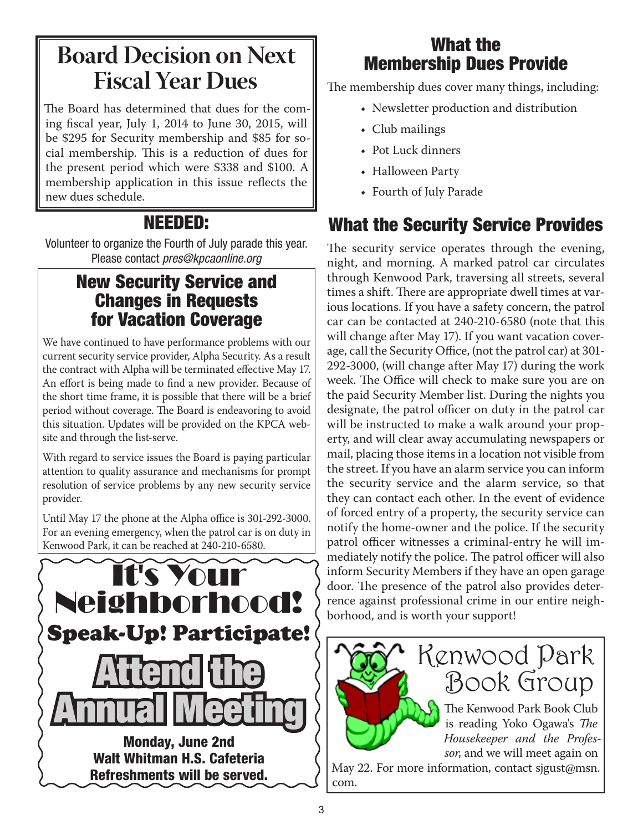## **Board Decision on Next Fiscal Year Dues**

The Board has determined that dues for the coming fiscal year, July 1, 2014 to June 30, 2015, will be \$295 for Security membership and \$85 for social membership. This is a reduction of dues for the present period which were \$338 and \$100. A membership application in this issue reflects the new dues schedule.

### NEEDED:

Volunteer to organize the Fourth of July parade this year. Please contact *pres@kpcaonline.org*

### New Security Service and Changes in Requests for Vacation Coverage

We have continued to have performance problems with our current security service provider, Alpha Security. As a result the contract with Alpha will be terminated effective May 17. An effort is being made to find a new provider. Because of the short time frame, it is possible that there will be a brief period without coverage. The Board is endeavoring to avoid this situation. Updates will be provided on the KPCA website and through the list-serve.

With regard to service issues the Board is paying particular attention to quality assurance and mechanisms for prompt resolution of service problems by any new security service provider.

Until May 17 the phone at the Alpha office is 301-292-3000. For an evening emergency, when the patrol car is on duty in Kenwood Park, it can be reached at 240-210-6580.



### What the Membership Dues Provide

The membership dues cover many things, including:

- Newsletter production and distribution
- Club mailings
- Pot Luck dinners
- Halloween Party
- Fourth of July Parade

## What the Security Service Provides

The security service operates through the evening, night, and morning. A marked patrol car circulates through Kenwood Park, traversing all streets, several times a shift. There are appropriate dwell times at various locations. If you have a safety concern, the patrol car can be contacted at 240-210-6580 (note that this will change after May 17). If you want vacation coverage, call the Security Office, (not the patrol car) at 301- 292-3000, (will change after May 17) during the work week. The Office will check to make sure you are on the paid Security Member list. During the nights you designate, the patrol officer on duty in the patrol car will be instructed to make a walk around your property, and will clear away accumulating newspapers or mail, placing those items in a location not visible from the street. If you have an alarm service you can inform the security service and the alarm service, so that they can contact each other. In the event of evidence of forced entry of a property, the security service can notify the home-owner and the police. If the security patrol officer witnesses a criminal-entry he will immediately notify the police. The patrol officer will also inform Security Members if they have an open garage door. The presence of the patrol also provides deterrence against professional crime in our entire neighborhood, and is worth your support!



May 22. For more information, contact sigust@msn. com.